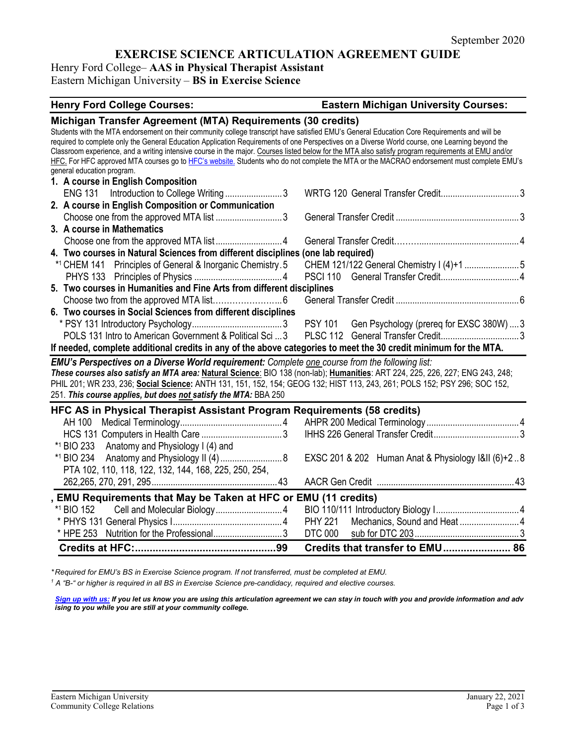# **EXERCISE SCIENCE ARTICULATION AGREEMENT GUIDE**

Henry Ford College– **AAS in Physical Therapist Assistant**

Eastern Michigan University – **BS in Exercise Science**

## **Henry Ford College Courses: Eastern Michigan University Courses: Michigan Transfer Agreement (MTA) Requirements (30 credits)** Students with the MTA endorsement on their community college transcript have satisfied EMU's General Education Core Requirements and will be required to complete only the General Education Application Requirements of one Perspectives on a Diverse World course, one Learning beyond the Classroom experience, and a writing intensive course in the major. Courses listed below for the MTA also satisfy program requirements at EMU and/or HFC. For HFC approved MTA courses go t[o HFC's website.](https://www.hfcc.edu/registration-and-records/mta) Students who do not complete the MTA or the MACRAO endorsement must complete EMU's general education program. **1. A course in English Composition** ENG 131 Introduction to College Writing ..........................3 WRTG 120 General Transfer Credit...................................3 **2. A course in English Composition or Communication** Choose one from the approved MTA list ............................3 General Transfer Credit ....................................................3 **3. A course in Mathematics** Choose one from the approved MTA list ............................4 General Transfer Credit………..........................................4 **4. Two courses in Natural Sciences from different disciplines (one lab required)** \*1 CHEM 141 Principles of General & Inorganic Chemistry.5 CHEM 121/122 General Chemistry I (4)+1 .......................5 PHYS 133 Principles of Physics .....................................4 PSCI 110 General Transfer Credit.................................4 **5. Two courses in Humanities and Fine Arts from different disciplines** Choose two from the approved MTA list…………………....6 General Transfer Credit ....................................................6 **6. Two courses in Social Sciences from different disciplines** \* PSY 131 Introductory Psychology......................................3 PSY 101 Gen Psychology (prereq for EXSC 380W) ....3 POLS 131 Intro to American Government & Political Sci ...3 PLSC 112 General Transfer Credit.................................3 **If needed, complete additional credits in any of the above categories to meet the 30 credit minimum for the MTA.** *EMU's Perspectives on a Diverse World requirement: Complete one course from the following list: These courses also satisfy an MTA area:* **Natural Science**: BIO 138 (non-lab); **Humanities**: ART 224, 225, 226, 227; ENG 243, 248; PHIL 201; WR 233, 236; **Social Science:** ANTH 131, 151, 152, 154; GEOG 132; HIST 113, 243, 261; POLS 152; PSY 296; SOC 152, 251. *This course applies, but does not satisfy the MTA:* BBA 250 **HFC AS in Physical Therapist Assistant Program Requirements (58 credits)** AH 100 Medical Terminology...........................................4 AHPR 200 Medical Terminology .......................................4 HCS 131 Computers in Health Care ..................................3 IHHS 226 General Transfer Credit....................................3 \*1 BIO 233 Anatomy and Physiology I (4) and \*1 BIO 234 Anatomy and Physiology II (4)..........................8 EXSC 201 & 202 Human Anat & Physiology I&II (6)+2 ..8 PTA 102, 110, 118, 122, 132, 144, 168, 225, 250, 254, 262,265, 270, 291, 295.....................................................43 AACR Gen Credit ..........................................................43 **, EMU Requirements that May be Taken at HFC or EMU (11 credits)** \*1 BIO 152 Cell and Molecular Biology............................4 BIO 110/111 Introductory Biology I...................................4 \* PHYS 131 General Physics I..............................................4 PHY 221 Mechanics, Sound and Heat .........................4 \* HPE 253 Nutrition for the Professional.............................3 DTC 000 sub for DTC 203............................................3 **Credits at HFC:................................................99 Credits that transfer to EMU....................... 86**

*\* Required for EMU's BS in Exercise Science program. If not transferred, must be completed at EMU.* 

*<sup>1</sup> A "B-" or higher is required in all BS in Exercise Science pre-candidacy, required and elective courses.*

*[Sign up with us:](https://www.emich.edu/ccr/articulation-agreements/signup.php) If you let us know you are using this articulation agreement we can stay in touch with you and provide information and adv ising to you while you are still at your community college.*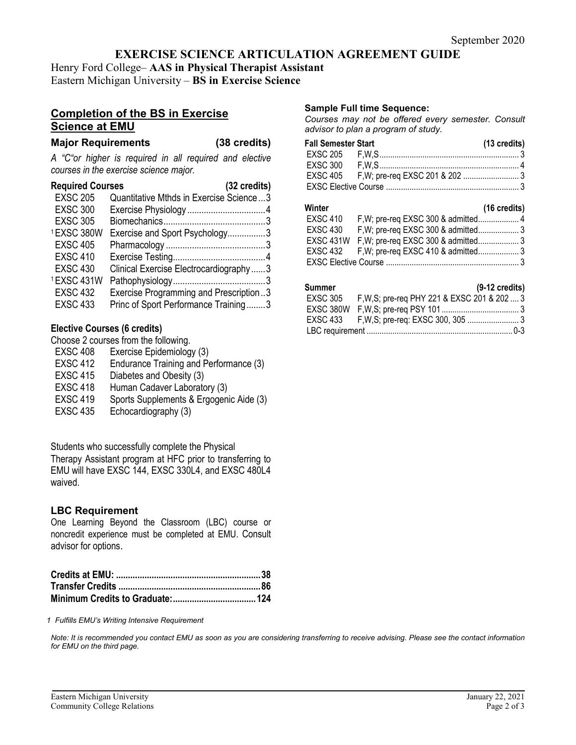# **EXERCISE SCIENCE ARTICULATION AGREEMENT GUIDE**

Henry Ford College– **AAS in Physical Therapist Assistant** Eastern Michigan University – **BS in Exercise Science**

## **Completion of the BS in Exercise Science at EMU**

## **Major Requirements (38 credits)**

*A "C"or higher is required in all required and elective courses in the exercise science major.*

| <b>Required Courses</b> | (32 credits)                            |
|-------------------------|-----------------------------------------|
| <b>EXSC 205</b>         | Quantitative Mthds in Exercise Science3 |
| <b>EXSC 300</b>         |                                         |
| <b>EXSC 305</b>         |                                         |
| 1EXSC 380W              | Exercise and Sport Psychology3          |
| <b>EXSC 405</b>         |                                         |
| <b>EXSC 410</b>         |                                         |
| <b>EXSC 430</b>         | Clinical Exercise Electrocardiography3  |
| 1EXSC 431W              |                                         |
| <b>EXSC 432</b>         | Exercise Programming and Prescription3  |
| <b>EXSC 433</b>         | Princ of Sport Performance Training3    |

## **Elective Courses (6 credits)**

Choose 2 courses from the following.

- EXSC 408 Exercise Epidemiology (3)
- EXSC 412 Endurance Training and Performance (3)
- EXSC 415 Diabetes and Obesity (3)
- EXSC 418 Human Cadaver Laboratory (3)
- EXSC 419 Sports Supplements & Ergogenic Aide (3)
- EXSC 435 Echocardiography (3)

Students who successfully complete the Physical Therapy Assistant program at HFC prior to transferring to EMU will have EXSC 144, EXSC 330L4, and EXSC 480L4 waived.

## **LBC Requirement**

One Learning Beyond the Classroom (LBC) course or noncredit experience must be completed at EMU. Consult advisor for options.

*1 Fulfills EMU's Writing Intensive Requirement*

*Note: It is recommended you contact EMU as soon as you are considering transferring to receive advising. Please see the contact information for EMU on the third page.*

## **Sample Full time Sequence:**

*Courses may not be offered every semester. Consult advisor to plan a program of study.*

| <b>Fall Semester Start</b> | (13 credits) |
|----------------------------|--------------|
|                            |              |
|                            |              |
|                            |              |
|                            |              |

### **Winter (16 credits)**

| וסווונט  |                                               | $110$ Greater |
|----------|-----------------------------------------------|---------------|
| EXSC 410 | F, W; pre-req EXSC 300 & admitted 4           |               |
| EXSC 430 |                                               |               |
|          | EXSC 431W F, W; pre-req EXSC 300 & admitted 3 |               |
|          | EXSC 432 F, W; pre-req EXSC 410 & admitted 3  |               |
|          |                                               |               |

## **Summer (9-12 credits)**

|  | EXSC 305 F, W, S; pre-req PHY 221 & EXSC 201 & 202  3 |  |
|--|-------------------------------------------------------|--|
|  |                                                       |  |
|  |                                                       |  |
|  |                                                       |  |